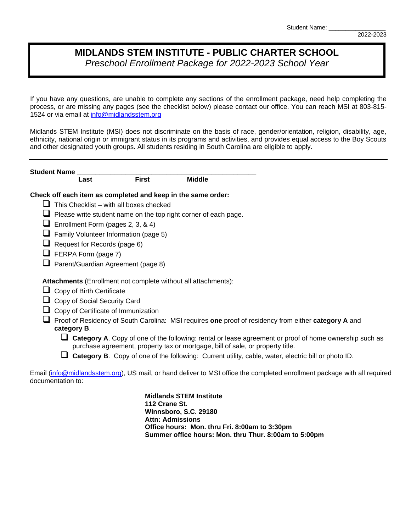## **MIDLANDS STEM INSTITUTE - PUBLIC CHARTER SCHOOL** *Preschool Enrollment Package for 2022-2023 School Year*

If you have any questions, are unable to complete any sections of the enrollment package, need help completing the process, or are missing any pages (see the checklist below) please contact our office. You can reach MSI at 803-815 1524 or via email at [info@midlandsstem.org](mailto:info@midlandsstem.org)

Midlands STEM Institute (MSI) does not discriminate on the basis of race, gender/orientation, religion, disability, age, ethnicity, national origin or immigrant status in its programs and activities, and provides equal access to the Boy Scouts and other designated youth groups. All students residing in South Carolina are eligible to apply.

|   | <b>Student Name</b>                            |              |                                                                                                                                                                                          |  |
|---|------------------------------------------------|--------------|------------------------------------------------------------------------------------------------------------------------------------------------------------------------------------------|--|
|   | Last                                           | <b>First</b> | <b>Middle</b>                                                                                                                                                                            |  |
|   |                                                |              | Check off each item as completed and keep in the same order:                                                                                                                             |  |
|   | $\Box$ This Checklist – with all boxes checked |              |                                                                                                                                                                                          |  |
| ⊔ |                                                |              | Please write student name on the top right corner of each page.                                                                                                                          |  |
| ⊔ | Enrollment Form (pages 2, 3, & 4)              |              |                                                                                                                                                                                          |  |
|   | $\Box$ Family Volunteer Information (page 5)   |              |                                                                                                                                                                                          |  |
| ⊔ | Request for Records (page 6)                   |              |                                                                                                                                                                                          |  |
| ⊔ | FERPA Form (page 7)                            |              |                                                                                                                                                                                          |  |
|   | Parent/Guardian Agreement (page 8)             |              |                                                                                                                                                                                          |  |
|   |                                                |              | Attachments (Enrollment not complete without all attachments):                                                                                                                           |  |
| ப | Copy of Birth Certificate                      |              |                                                                                                                                                                                          |  |
|   | Copy of Social Security Card                   |              |                                                                                                                                                                                          |  |
|   | $\Box$ Copy of Certificate of Immunization     |              |                                                                                                                                                                                          |  |
|   | category B.                                    |              | Proof of Residency of South Carolina: MSI requires one proof of residency from either category A and                                                                                     |  |
|   | ப                                              |              | Category A. Copy of one of the following: rental or lease agreement or proof of home ownership such as<br>purchase agreement, property tax or mortgage, bill of sale, or property title. |  |
|   |                                                |              | Category B. Copy of one of the following: Current utility, cable, water, electric bill or photo ID.                                                                                      |  |
|   | documentation to:                              |              | Email (info@midlandsstem.org), US mail, or hand deliver to MSI office the completed enrollment package with all required                                                                 |  |

**Midlands STEM Institute 112 Crane St. Winnsboro, S.C. 29180 Attn: Admissions Office hours: Mon. thru Fri. 8:00am to 3:30pm Summer office hours: Mon. thru Thur. 8:00am to 5:00pm** 2022-2023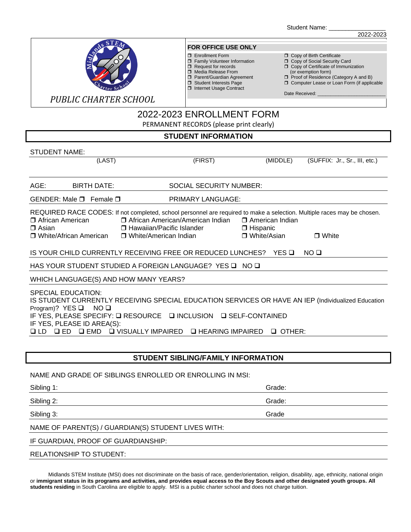Student Name:



#### **FOR OFFICE USE ONLY**

- 
- 
- 
- 
- □ Student Interests Page<br>□ Internet Usage Contract

- <table>\n<tbody>\n<tr>\n<td>□ Enrollment Form</td>\n<td>□ Copy of Birth Certificance</td>\n</tr>\n<tr>\n<td>□ Family Volume Information</td>\n<td>□ Copy of Social Security</td>\n</tr>\n<tr>\n<td>□ Request for records</td>\n<td>□ Copy of Certificance of Im</td>\n</tr>\n</tbody>\n</table> Family Volunteer Information Copy of Social Security Card
- $\Box$  Request for records  $\Box$  Copy of Certificate of Immunization Media Release From (or exemption form)
- □ Parent/Guardian Agreement □ Proof of Residence (Category A and B)
	- $\Box$  Computer Lease or Loan Form (if applicable

2022-2023

Date Received:

*PUBLIC CHARTER SCHOOL*

# 2022-2023 ENROLLMENT FORM

PERMANENT RECORDS (please print clearly)

### **STUDENT INFORMATION**

#### STUDENT NAME:

|                                                                                                                                                                                                                                                                                                                                  | (LAST)                                                                                                                                                                                                                                                                                                                                       | (FIRST)                        | (MIDDLE) | (SUFFIX: Jr., Sr., III, etc.) |  |  |
|----------------------------------------------------------------------------------------------------------------------------------------------------------------------------------------------------------------------------------------------------------------------------------------------------------------------------------|----------------------------------------------------------------------------------------------------------------------------------------------------------------------------------------------------------------------------------------------------------------------------------------------------------------------------------------------|--------------------------------|----------|-------------------------------|--|--|
| AGE:                                                                                                                                                                                                                                                                                                                             | <b>BIRTH DATE:</b>                                                                                                                                                                                                                                                                                                                           | <b>SOCIAL SECURITY NUMBER:</b> |          |                               |  |  |
|                                                                                                                                                                                                                                                                                                                                  | GENDER: Male $\Box$ Female $\Box$                                                                                                                                                                                                                                                                                                            | PRIMARY LANGUAGE:              |          |                               |  |  |
| $\Box$ Asian                                                                                                                                                                                                                                                                                                                     | REQUIRED RACE CODES: If not completed, school personnel are required to make a selection. Multiple races may be chosen.<br>□ African American/American Indian □ American Indian<br>□ African American<br>□ Hawaiian/Pacific Islander<br>$\Box$ Hispanic<br>□ White/Asian<br>□ White/African American □ White/American Indian<br>$\Box$ White |                                |          |                               |  |  |
|                                                                                                                                                                                                                                                                                                                                  | IS YOUR CHILD CURRENTLY RECEIVING FREE OR REDUCED LUNCHES? YES Q<br>NO O                                                                                                                                                                                                                                                                     |                                |          |                               |  |  |
| HAS YOUR STUDENT STUDIED A FOREIGN LANGUAGE? YES □ NO □                                                                                                                                                                                                                                                                          |                                                                                                                                                                                                                                                                                                                                              |                                |          |                               |  |  |
| WHICH LANGUAGE(S) AND HOW MANY YEARS?                                                                                                                                                                                                                                                                                            |                                                                                                                                                                                                                                                                                                                                              |                                |          |                               |  |  |
| <b>SPECIAL EDUCATION:</b><br>IS STUDENT CURRENTLY RECEIVING SPECIAL EDUCATION SERVICES OR HAVE AN IEP (Individualized Education<br>Program)? YES $\square$<br>NO □<br>IF YES, PLEASE SPECIFY: □ RESOURCE □ INCLUSION □ SELF-CONTAINED<br>IF YES, PLEASE ID AREA(S):<br>QLD QED QEMD QVISUALLY IMPAIRED QHEARING IMPAIRED QOTHER: |                                                                                                                                                                                                                                                                                                                                              |                                |          |                               |  |  |

### **STUDENT SIBLING/FAMILY INFORMATION**

#### NAME AND GRADE OF SIBLINGS ENROLLED OR ENROLLING IN MSI:

| Sibling 1:                                          | Grade: |  |  |
|-----------------------------------------------------|--------|--|--|
| Sibling 2:                                          | Grade: |  |  |
| Sibling 3:                                          | Grade  |  |  |
| NAME OF PARENT(S) / GUARDIAN(S) STUDENT LIVES WITH: |        |  |  |
| IF GUARDIAN, PROOF OF GUARDIANSHIP:                 |        |  |  |
| <b>RELATIONSHIP TO STUDENT:</b>                     |        |  |  |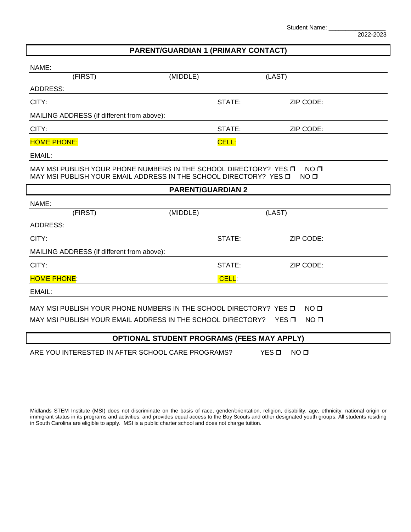Student Name: \_

2022-2023

## **PARENT/GUARDIAN 1 (PRIMARY CONTACT)**

| NAME:                                                                                                                                                                        |                          |        |           |  |
|------------------------------------------------------------------------------------------------------------------------------------------------------------------------------|--------------------------|--------|-----------|--|
| (FIRST)                                                                                                                                                                      | (MIDDLE)                 |        | (LAST)    |  |
| <b>ADDRESS:</b>                                                                                                                                                              |                          |        |           |  |
| CITY:                                                                                                                                                                        |                          | STATE: | ZIP CODE: |  |
| MAILING ADDRESS (if different from above):                                                                                                                                   |                          |        |           |  |
| CITY:                                                                                                                                                                        |                          | STATE: | ZIP CODE: |  |
| <b>HOME PHONE:</b>                                                                                                                                                           |                          | CELL:  |           |  |
| EMAIL:                                                                                                                                                                       |                          |        |           |  |
| MAY MSI PUBLISH YOUR PHONE NUMBERS IN THE SCHOOL DIRECTORY? YES O<br>NO <sub>0</sub><br>MAY MSI PUBLISH YOUR EMAIL ADDRESS IN THE SCHOOL DIRECTORY? YES O<br>NO <sub>0</sub> |                          |        |           |  |
|                                                                                                                                                                              | <b>PARENT/GUARDIAN 2</b> |        |           |  |
| NAME:                                                                                                                                                                        |                          |        |           |  |
| (FIRST)                                                                                                                                                                      | (MIDDLE)                 |        | (LAST)    |  |
| <b>ADDRESS:</b>                                                                                                                                                              |                          |        |           |  |
| CITY:                                                                                                                                                                        |                          | STATE: | ZIP CODE: |  |
| MAILING ADDRESS (if different from above):                                                                                                                                   |                          |        |           |  |
| CITY:                                                                                                                                                                        |                          | STATE: | ZIP CODE: |  |
| <b>HOME PHONE:</b>                                                                                                                                                           |                          | CELL:  |           |  |
| EMAIL:                                                                                                                                                                       |                          |        |           |  |
| MAY MSI PUBLISH YOUR PHONE NUMBERS IN THE SCHOOL DIRECTORY? YES O<br>NO <sub>0</sub>                                                                                         |                          |        |           |  |
| MAY MSI PUBLISH YOUR EMAIL ADDRESS IN THE SCHOOL DIRECTORY?<br>NO <sub>0</sub><br>$YES\P$                                                                                    |                          |        |           |  |
| <b>OPTIONAL STUDENT PROGRAMS (FEES MAY APPLY)</b>                                                                                                                            |                          |        |           |  |
|                                                                                                                                                                              |                          |        |           |  |

ARE YOU INTERESTED IN AFTER SCHOOL CARE PROGRAMS? YES  $\square$  NO  $\square$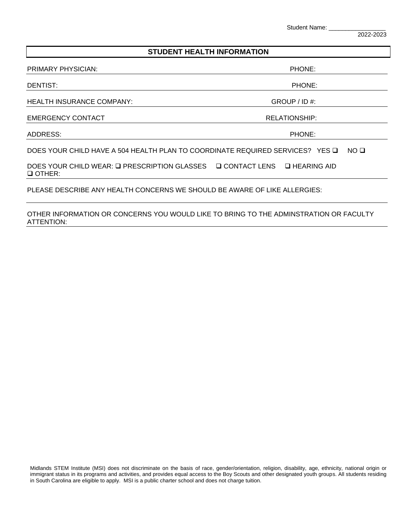Student Name:

2022-2023

#### **STUDENT HEALTH INFORMATION**

PRIMARY PHYSICIAN: PHONE: PHONE: PHONE: PHONE: PHONE: PHONE: PHONE: PHONE: PHONE: PHONE: PHONE: PHONE: PHONE: PHONE: PHONE: PHONE: PHONE: PHONE: PHONE: PHONE: PHONE: PHONE: PHONE: PHONE: PHONE: PHONE: PHONE: PHONE: PHONE:

DENTIST: PHONE:

HEALTH INSURANCE COMPANY: GROUP / ID #:

EMERGENCY CONTACT **EXECUTES A SECURE 2018 THE RELATIONSHIP:** 

ADDRESS: PHONE:

DOES YOUR CHILD HAVE A 504 HEALTH PLAN TO COORDINATE REQUIRED SERVICES? YES  $\square$  NO  $\square$ 

DOES YOUR CHILD WEAR: Q PRESCRIPTION GLASSES Q CONTACT LENS Q HEARING AID OTHER:

PLEASE DESCRIBE ANY HEALTH CONCERNS WE SHOULD BE AWARE OF LIKE ALLERGIES:

OTHER INFORMATION OR CONCERNS YOU WOULD LIKE TO BRING TO THE ADMINSTRATION OR FACULTY ATTENTION: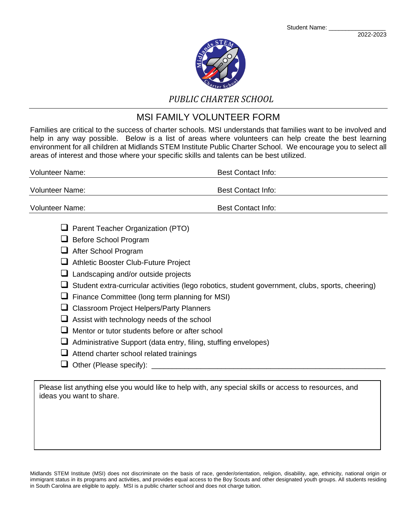

## *PUBLIC CHARTER SCHOOL*

# MSI FAMILY VOLUNTEER FORM

Families are critical to the success of charter schools. MSI understands that families want to be involved and help in any way possible. Below is a list of areas where volunteers can help create the best learning environment for all children at Midlands STEM Institute Public Charter School. We encourage you to select all areas of interest and those where your specific skills and talents can be best utilized.

| <b>Volunteer Name:</b>                                           | <b>Best Contact Info:</b> |
|------------------------------------------------------------------|---------------------------|
| Volunteer Name:                                                  | <b>Best Contact Info:</b> |
| <b>Volunteer Name:</b>                                           | <b>Best Contact Info:</b> |
| $\Box$ Parent Teacher Organization (PTO)<br>— <i>- -</i> - - - - |                           |

- Before School Program
- **After School Program**
- Athletic Booster Club-Future Project
- **Q** Landscaping and/or outside projects
- $\Box$  Student extra-curricular activities (lego robotics, student government, clubs, sports, cheering)
- $\Box$  Finance Committee (long term planning for MSI)
- □ Classroom Project Helpers/Party Planners
- $\Box$  Assist with technology needs of the school
- $\Box$  Mentor or tutor students before or after school
- $\Box$  Administrative Support (data entry, filing, stuffing envelopes)
- $\Box$  Attend charter school related trainings
- Other (Please specify): \_\_\_\_\_\_\_\_\_\_\_\_\_\_\_\_\_\_\_\_\_\_\_\_\_\_\_\_\_\_\_\_\_\_\_\_\_\_\_\_\_\_\_\_\_\_\_\_\_\_\_\_\_\_\_\_\_

Please list anything else you would like to help with, any special skills or access to resources, and ideas you want to share.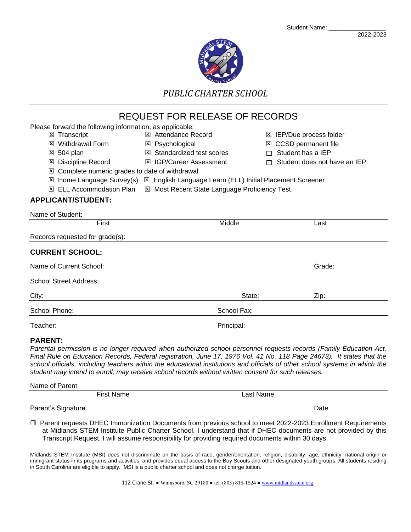

*PUBLIC CHARTER SCHOOL*

# REQUEST FOR RELEASE OF RECORDS

| Please forward the following information, as applicable: |                                                           |             |                              |
|----------------------------------------------------------|-----------------------------------------------------------|-------------|------------------------------|
| ⊠ Transcript                                             | <b>E</b> Attendance Record                                | ×           | IEP/Due process folder       |
| Withdrawal Form<br> x                                    | ⊠ Psychological                                           | ⊠           | <b>CCSD</b> permanent file   |
| 504 plan<br>区                                            | <b>⊠</b> Standardized test scores                         |             | Student has a IEP            |
| Discipline Record<br>×                                   | <b>⊠ IGP/Career Assessment</b>                            |             | Student does not have an IEP |
| Complete numeric grades to date of withdrawal<br>×       |                                                           |             |                              |
| $\boxtimes$ Home Language Survey(s)                      | ⊠ English Language Learn (ELL) Initial Placement Screener |             |                              |
| <b>ELL Accommodation Plan</b><br>x                       | ⊠ Most Recent State Language Proficiency Test             |             |                              |
| APPLICANT/STUDENT:                                       |                                                           |             |                              |
| Name of Student:                                         |                                                           |             |                              |
| First                                                    | Middle                                                    |             | Last                         |
| Records requested for grade(s):                          |                                                           |             |                              |
| <b>CURRENT SCHOOL:</b>                                   |                                                           |             |                              |
| Name of Current School:                                  |                                                           |             | Grade:                       |
| <b>School Street Address:</b>                            |                                                           |             |                              |
| City:                                                    |                                                           | State:      | Zip:                         |
| School Phone:                                            |                                                           | School Fax: |                              |
| Teacher:                                                 |                                                           | Principal:  |                              |
|                                                          |                                                           |             |                              |

### **PARENT:**

*Parental permission is no longer required when authorized school personnel requests records (Family Education Act, Final Rule on Education Records, Federal registration, June 17, 1976 Vol. 41 No. 118 Page 24673). It states that the school officials, including teachers within the educational institutions and officials of other school systems in which the student may intend to enroll, may receive school records without written consent for such releases.*

| Name of Parent     |            |           |      |  |
|--------------------|------------|-----------|------|--|
|                    | First Name | Last Name |      |  |
| Parent's Signature |            |           | Date |  |

 Parent requests DHEC Immunization Documents from previous school to meet 2022-2023 Enrollment Requirements at Midlands STEM Institute Public Charter School. I understand that if DHEC documents are not provided by this Transcript Request, I will assume responsibility for providing required documents within 30 days.

Midlands STEM Institute (MSI) does not discriminate on the basis of race, gender/orientation, religion, disability, age, ethnicity, national origin or immigrant status in its programs and activities, and provides equal access to the Boy Scouts and other designated youth groups. All students residing in South Carolina are eligible to apply. MSI is a public charter school and does not charge tuition.

112 Crane St. ● Winnsboro, SC 29180 ● tel. (803) 815-1524 [● www.midlandsstem.org](http://www.midlandsstem.org/)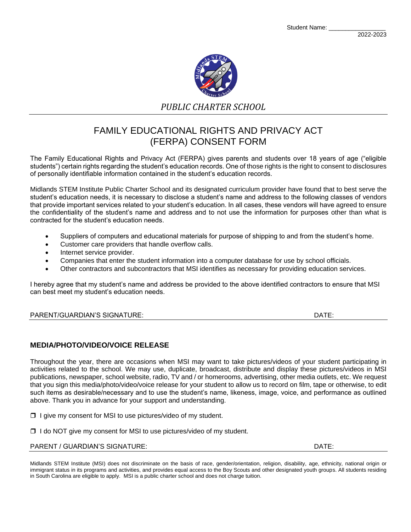Student Name: \_



*PUBLIC CHARTER SCHOOL*

# FAMILY EDUCATIONAL RIGHTS AND PRIVACY ACT (FERPA) CONSENT FORM

The Family Educational Rights and Privacy Act (FERPA) gives parents and students over 18 years of age ("eligible students") certain rights regarding the student's education records. One of those rights is the right to consent to disclosures of personally identifiable information contained in the student's education records.

Midlands STEM Institute Public Charter School and its designated curriculum provider have found that to best serve the student's education needs, it is necessary to disclose a student's name and address to the following classes of vendors that provide important services related to your student's education. In all cases, these vendors will have agreed to ensure the confidentiality of the student's name and address and to not use the information for purposes other than what is contracted for the student's education needs.

- Suppliers of computers and educational materials for purpose of shipping to and from the student's home.
- Customer care providers that handle overflow calls.
- Internet service provider.
- Companies that enter the student information into a computer database for use by school officials.
- Other contractors and subcontractors that MSI identifies as necessary for providing education services.

I hereby agree that my student's name and address be provided to the above identified contractors to ensure that MSI can best meet my student's education needs.

### PARENT/GUARDIAN'S SIGNATURE: DATE:

### **MEDIA/PHOTO/VIDEO/VOICE RELEASE**

Throughout the year, there are occasions when MSI may want to take pictures/videos of your student participating in activities related to the school. We may use, duplicate, broadcast, distribute and display these pictures/videos in MSI publications, newspaper, school website, radio, TV and / or homerooms, advertising, other media outlets, etc. We request that you sign this media/photo/video/voice release for your student to allow us to record on film, tape or otherwise, to edit such items as desirable/necessary and to use the student's name, likeness, image, voice, and performance as outlined above. Thank you in advance for your support and understanding.

 $\Box$  I give my consent for MSI to use pictures/video of my student.

 $\Box$  I do NOT give my consent for MSI to use pictures/video of my student.

#### PARENT / GUARDIAN'S SIGNATURE: DATE: DATE: DATE: DATE: DATE: DATE: DATE: DATE: DATE: DATE: DATE: DATE: DATE: DATE: DATE: DATE: DATE: DATE: DATE: DATE: DATE: DATE: DATE: DATE: DATE: DATE: DATE: DATE: DATE: DATE: DATE: DATE: